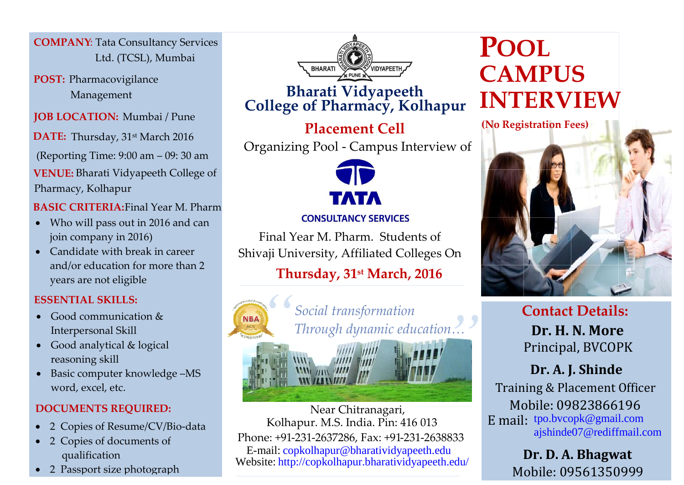**COMPANY**: Tata Consultancy Services Ltd. (TCSL), Mumbai

**POST:** Pharmacovigilance Management

**JOB LOCATION:** Mumbai / Pune

**DATE:** Thursday, 31st March 2016

(Reporting Time: 9:00 am – 09: 30 am

 **VENUE:** Bharati Vidyapeeth College of Pharmacy, Kolhapur

 **BASIC CRITERIA:**Final Year M. Pharm

- Who will pass out in 2016 and can join company in 2016)
- Candidate with break in career and/or education for more than 2 years are not eligible

### **ESSENTIAL SKILLS:**

- Good communication & Interpersonal Skill
- Good analytical & logical reasoning skill
- Basic computer knowledge –MS word, excel, etc.

### **DOCUMENTS REQUIRED:**

- 2 Copies of Resume/CV/Bio-data
- 2 Copies of documents of qualification
- 2 Passport size photograph



## **Bharati Vidyapeeth College of Pharmacy, Kolhapur**

**(No Registration Fees) Placement Cell** Organizing Pool - Campus Interview of



#### **CONSULTANCY SERVICES**

Final Year M. Pharm. Students of Shivaji University, Affiliated Colleges On

Kolhapur. M.S. India. Pin: 416 013 Phone: +91-231-2637286, Fax: +91-231-2638833 E-mail: copkolhapur@bharatividyapeeth.edu Website: http://copkolhapur.bharatividyapeeth.edu/

# **Thursday, 31st March, 2016**

n...<sup>9</sup>



**POOL CAMPUS INTERVIEW**



**Contact Details: Dr. H. N. More** Principal, BVCOPK

**Dr. A. J. Shinde** Training & Placement Officer Mobile: 09823866196 E mail: tpo.bvcopk@gmail.com ajshinde07@rediffmail.com

> Mobile: 09561350999 **Dr. D. A. Bhagwat**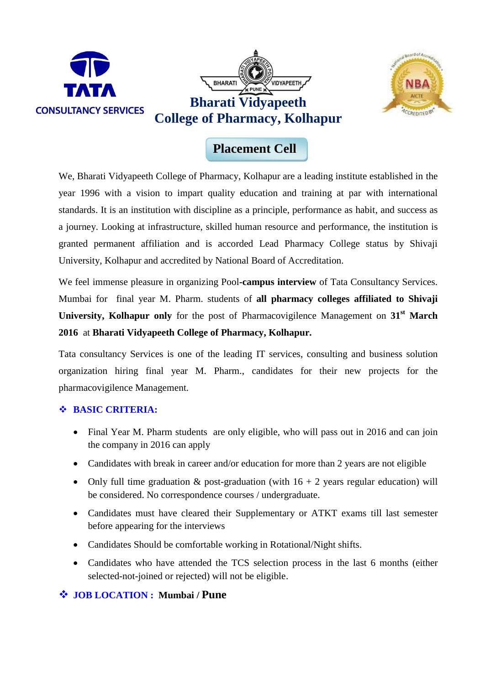



## **Placement Cell**

We, Bharati Vidyapeeth College of Pharmacy, Kolhapur are a leading institute established in the year 1996 with a vision to impart quality education and training at par with international standards. It is an institution with discipline as a principle, performance as habit, and success as a journey. Looking at infrastructure, skilled human resource and performance, the institution is granted permanent affiliation and is accorded Lead Pharmacy College status by Shivaji University, Kolhapur and accredited by National Board of Accreditation.

We feel immense pleasure in organizing Pool**-campus interview** of Tata Consultancy Services. Mumbai for final year M. Pharm. students of **all pharmacy colleges affiliated to Shivaji University, Kolhapur only** for the post of Pharmacovigilence Management on **31st March 2016** at **Bharati Vidyapeeth College of Pharmacy, Kolhapur.**

Tata consultancy Services is one of the leading IT services, consulting and business solution organization hiring final year M. Pharm., candidates for their new projects for the pharmacovigilence Management.

#### **BASIC CRITERIA:**

- Final Year M. Pharm students are only eligible, who will pass out in 2016 and can join the company in 2016 can apply
- Candidates with break in career and/or education for more than 2 years are not eligible
- Only full time graduation  $&$  post-graduation (with  $16 + 2$  years regular education) will be considered. No correspondence courses / undergraduate.
- Candidates must have cleared their Supplementary or ATKT exams till last semester before appearing for the interviews
- Candidates Should be comfortable working in Rotational/Night shifts.
- Candidates who have attended the TCS selection process in the last 6 months (either selected-not-joined or rejected) will not be eligible.

#### **JOB LOCATION : Mumbai / Pune**